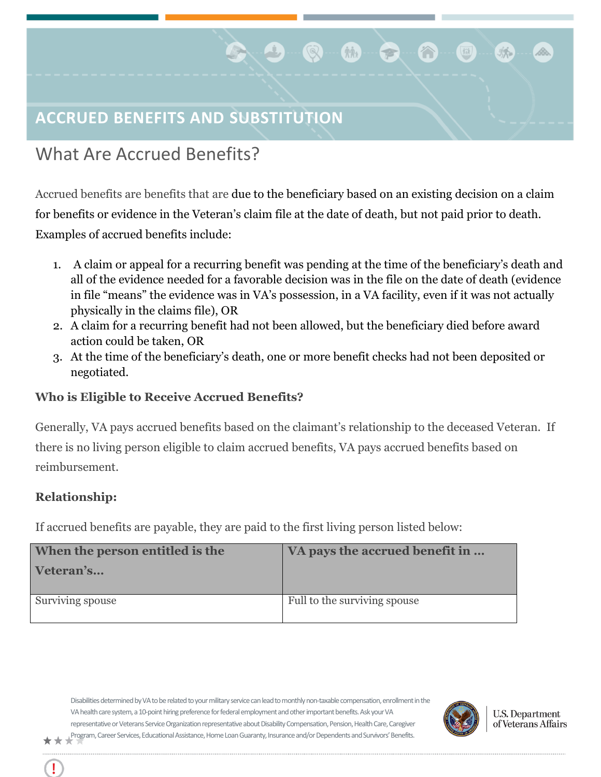# **ACCRUED BENEFITS AND SUBSTITUTION**

## What Are Accrued Benefits?

Accrued benefits are benefits that are due to the beneficiary based on an existing decision on a claim for benefits or evidence in the Veteran's claim file at the date of death, but not paid prior to death. Examples of accrued benefits include:

 $\bigcirc$ 

 $\hat{M}$ 

- 1. A claim or appeal for a recurring benefit was pending at the time of the beneficiary's death and all of the evidence needed for a favorable decision was in the file on the date of death (evidence in file "means" the evidence was in VA's possession, in a VA facility, even if it was not actually physically in the claims file), OR
- 2. A claim for a recurring benefit had not been allowed, but the beneficiary died before award action could be taken, OR
- 3. At the time of the beneficiary's death, one or more benefit checks had not been deposited or negotiated.

### **Who is Eligible to Receive Accrued Benefits?**

Generally, VA pays accrued benefits based on the claimant's relationship to the deceased Veteran. If there is no living person eligible to claim accrued benefits, VA pays accrued benefits based on reimbursement.

#### **Relationship:**

Ţ

If accrued benefits are payable, they are paid to the first living person listed below:

| When the person entitled is the | VA pays the accrued benefit in |
|---------------------------------|--------------------------------|
| Veteran's                       |                                |
|                                 |                                |
| Surviving spouse                | Full to the surviving spouse   |

Disabilities determined by VA to be related to your military service can lead to monthly non-taxable compensation, enrollment in the VA health care system, a 10-point hiring preference for federal employment and other important benefits. Ask your VA representative or Veterans Service Organization representative about Disability Compensation, Pension, Health Care, Caregiver Program, Career Services, Educational Assistance, Home Loan Guaranty, Insurance and/or Dependents and Survivors' Benefits.

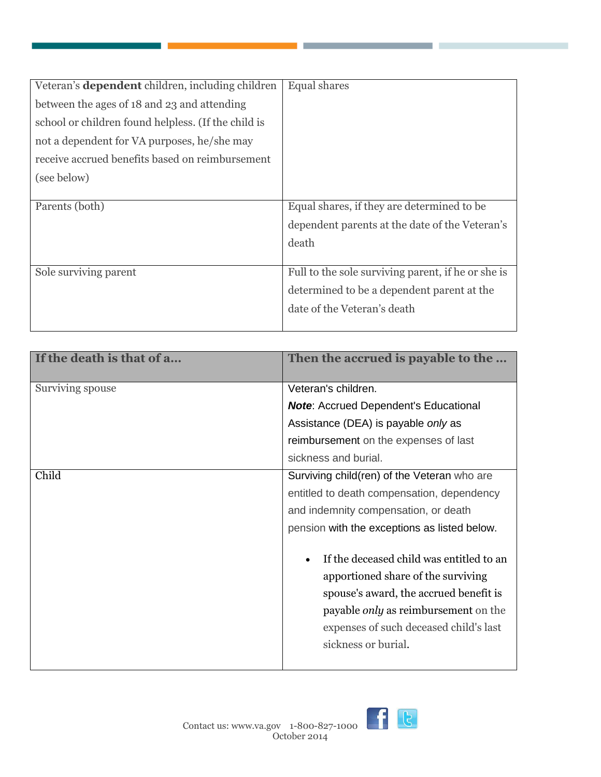| Veteran's <b>dependent</b> children, including children | Equal shares                                       |
|---------------------------------------------------------|----------------------------------------------------|
| between the ages of 18 and 23 and attending             |                                                    |
| school or children found helpless. (If the child is     |                                                    |
| not a dependent for VA purposes, he/she may             |                                                    |
| receive accrued benefits based on reimbursement         |                                                    |
| (see below)                                             |                                                    |
|                                                         |                                                    |
| Parents (both)                                          | Equal shares, if they are determined to be         |
|                                                         | dependent parents at the date of the Veteran's     |
|                                                         | death                                              |
|                                                         |                                                    |
| Sole surviving parent                                   | Full to the sole surviving parent, if he or she is |
|                                                         | determined to be a dependent parent at the         |
|                                                         | date of the Veteran's death                        |
|                                                         |                                                    |

| If the death is that of a | Then the accrued is payable to the           |
|---------------------------|----------------------------------------------|
| Surviving spouse          | Veteran's children.                          |
|                           | <b>Note:</b> Accrued Dependent's Educational |
|                           | Assistance (DEA) is payable only as          |
|                           | reimbursement on the expenses of last        |
|                           | sickness and burial.                         |
| Child                     | Surviving child(ren) of the Veteran who are  |
|                           | entitled to death compensation, dependency   |
|                           | and indemnity compensation, or death         |
|                           | pension with the exceptions as listed below. |
|                           | If the deceased child was entitled to an     |
|                           | apportioned share of the surviving           |
|                           | spouse's award, the accrued benefit is       |
|                           | payable only as reimbursement on the         |
|                           | expenses of such deceased child's last       |
|                           | sickness or burial.                          |

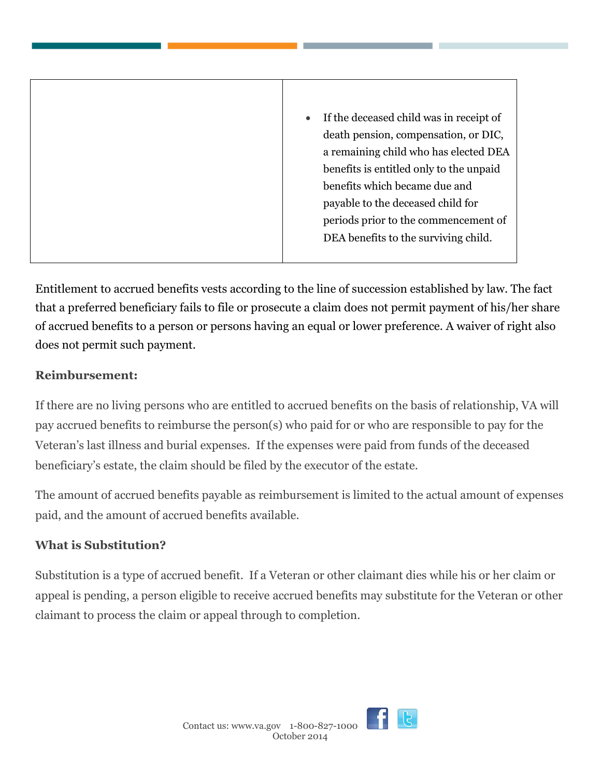| If the deceased child was in receipt of |
|-----------------------------------------|
| death pension, compensation, or DIC,    |
| a remaining child who has elected DEA   |
| benefits is entitled only to the unpaid |
| benefits which became due and           |
| payable to the deceased child for       |
| periods prior to the commencement of    |
| DEA benefits to the surviving child.    |

Entitlement to accrued benefits vests according to the line of succession established by law. The fact that a preferred beneficiary fails to file or prosecute a claim does not permit payment of his/her share of accrued benefits to a person or persons having an equal or lower preference. A waiver of right also does not permit such payment.

### **Reimbursement:**

If there are no living persons who are entitled to accrued benefits on the basis of relationship, VA will pay accrued benefits to reimburse the person(s) who paid for or who are responsible to pay for the Veteran's last illness and burial expenses. If the expenses were paid from funds of the deceased beneficiary's estate, the claim should be filed by the executor of the estate.

The amount of accrued benefits payable as reimbursement is limited to the actual amount of expenses paid, and the amount of accrued benefits available.

## **What is Substitution?**

Substitution is a type of accrued benefit. If a Veteran or other claimant dies while his or her claim or appeal is pending, a person eligible to receive accrued benefits may substitute for the Veteran or other claimant to process the claim or appeal through to completion.